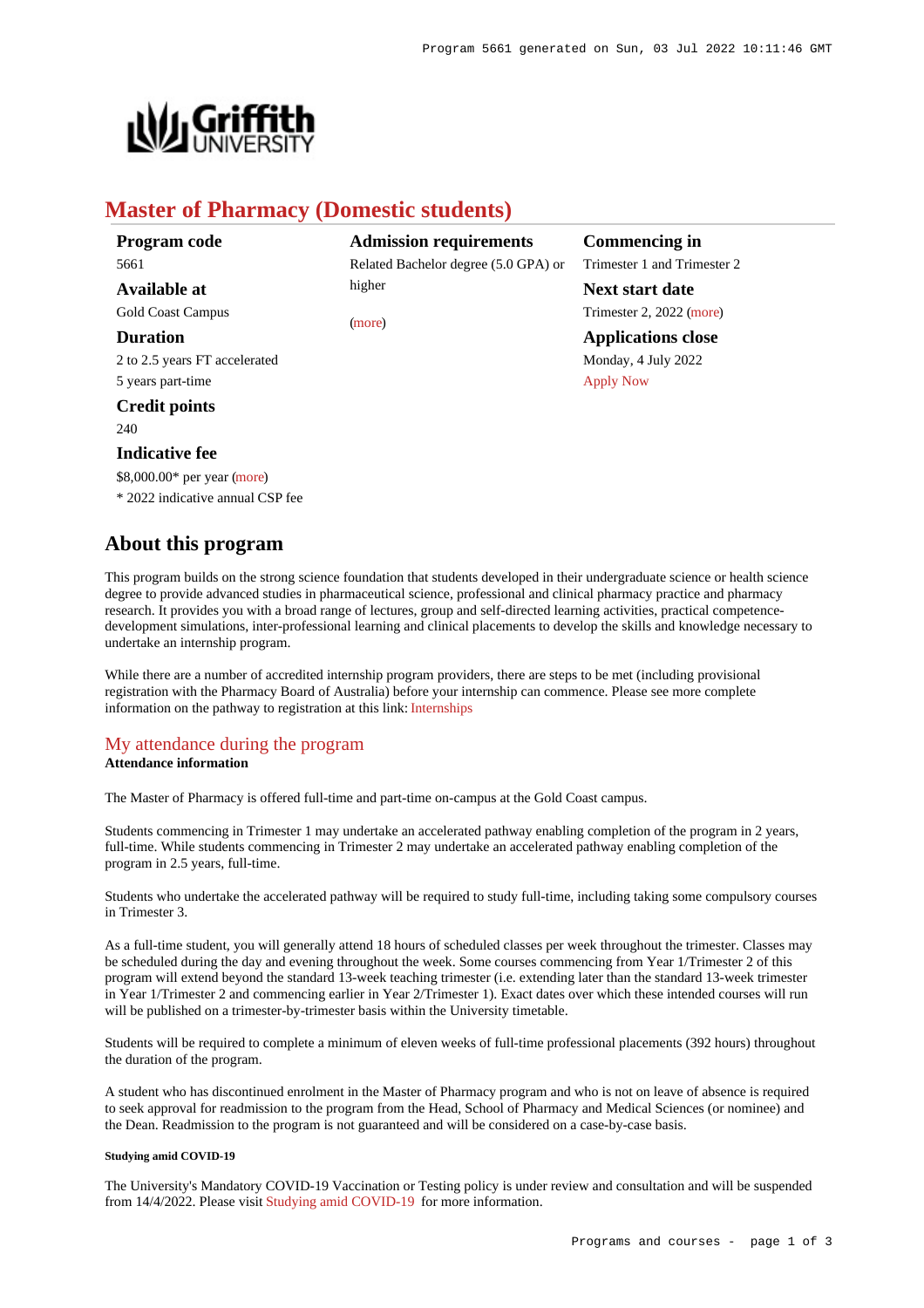

# **Master of Pharmacy (Domestic students)**

| Program code                     | Adr   |
|----------------------------------|-------|
| 5661                             | Relat |
| Available at                     | highe |
| <b>Gold Coast Campus</b>         | (mor  |
| <b>Duration</b>                  |       |
| 2 to 2.5 years FT accelerated    |       |
| 5 years part-time                |       |
| <b>Credit points</b>             |       |
| 240                              |       |
| <b>Indicative fee</b>            |       |
| \$8,000.00* per year (more)      |       |
| * 2022 indicative annual CSP fee |       |

**Admission requirements** ted Bachelor degree (5.0 GPA) or higher

 $\epsilon$ 

**Commencing in** Trimester 1 and Trimester 2

**Next start date** Trimester 2, 2022 [\(more](https://www148.griffith.edu.au/programs-courses/Program/5661/HowToApply/Domestic)) **Applications close** Monday, 4 July 2022 [Apply Now](https://www148.griffith.edu.au/programs-courses/Program/5661/Overview/Domestic#)

# **About this program**

This program builds on the strong science foundation that students developed in their undergraduate science or health science degree to provide advanced studies in pharmaceutical science, professional and clinical pharmacy practice and pharmacy research. It provides you with a broad range of lectures, group and self-directed learning activities, practical competencedevelopment simulations, inter-professional learning and clinical placements to develop the skills and knowledge necessary to undertake an internship program.

While there are a number of accredited internship program providers, there are steps to be met (including provisional registration with the Pharmacy Board of Australia) before your internship can commence. Please see more complete information on the pathway to registration at this link: [Internships](https://www.pharmacyboard.gov.au/Registration/Internships.aspx)

## [My attendance during the program](https://www148.griffith.edu.au/programs-courses/Program/5661/Overview/Domestic#attendance) **Attendance information**

The Master of Pharmacy is offered full-time and part-time on-campus at the Gold Coast campus.

Students commencing in Trimester 1 may undertake an accelerated pathway enabling completion of the program in 2 years, full-time. While students commencing in Trimester 2 may undertake an accelerated pathway enabling completion of the program in 2.5 years, full-time.

Students who undertake the accelerated pathway will be required to study full-time, including taking some compulsory courses in Trimester 3.

As a full-time student, you will generally attend 18 hours of scheduled classes per week throughout the trimester. Classes may be scheduled during the day and evening throughout the week. Some courses commencing from Year 1/Trimester 2 of this program will extend beyond the standard 13-week teaching trimester (i.e. extending later than the standard 13-week trimester in Year 1/Trimester 2 and commencing earlier in Year 2/Trimester 1). Exact dates over which these intended courses will run will be published on a trimester-by-trimester basis within the University timetable.

Students will be required to complete a minimum of eleven weeks of full-time professional placements (392 hours) throughout the duration of the program.

A student who has discontinued enrolment in the Master of Pharmacy program and who is not on leave of absence is required to seek approval for readmission to the program from the Head, School of Pharmacy and Medical Sciences (or nominee) and the Dean. Readmission to the program is not guaranteed and will be considered on a case-by-case basis.

## **Studying amid COVID-19**

The University's Mandatory COVID-19 Vaccination or Testing policy is under review and consultation and will be suspended from 14/4/2022. Please visit [Studying amid COVID-19](https://www.griffith.edu.au/coronavirus/studying-amid-covid-19) for more information.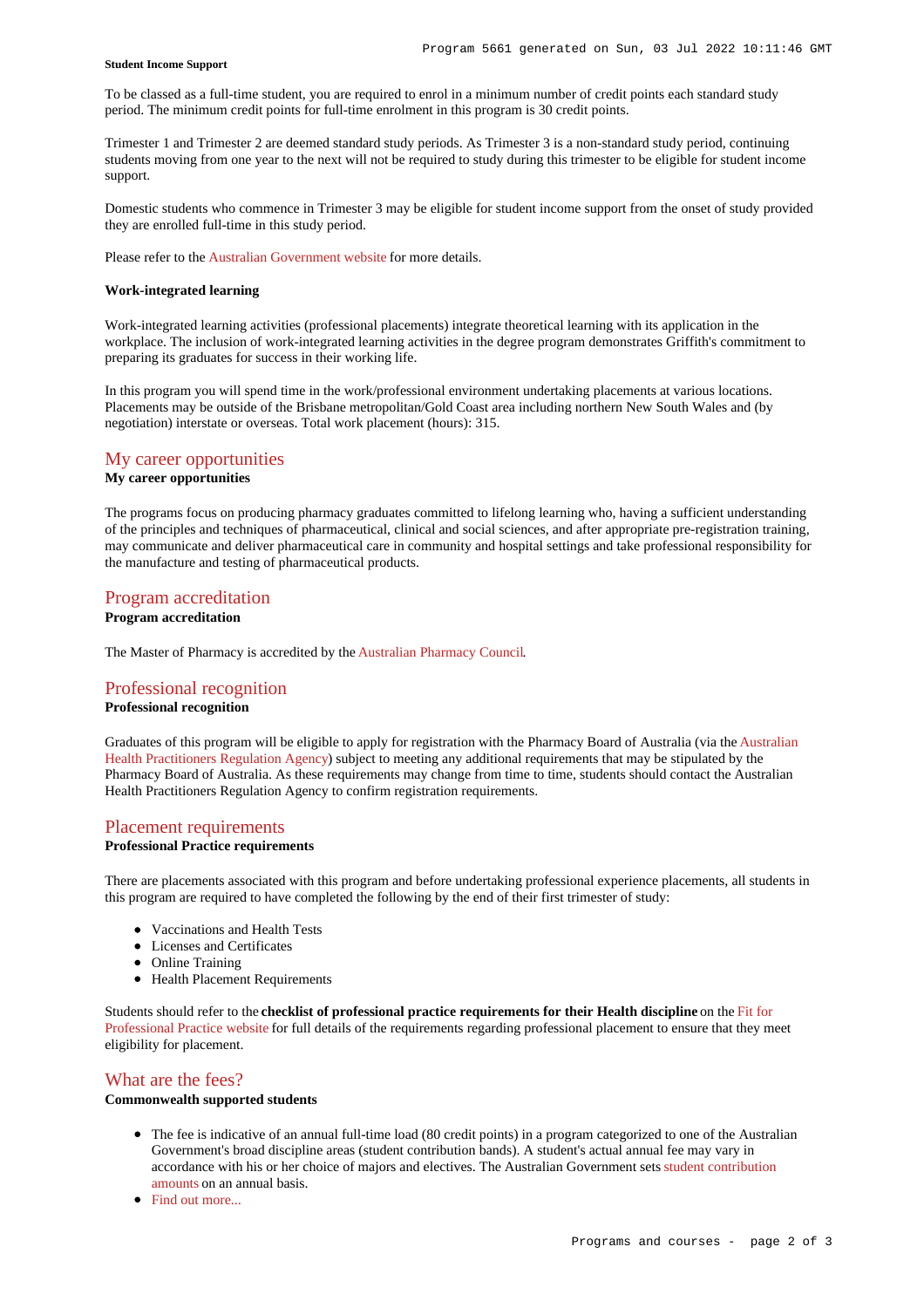## **Student Income Support**

To be classed as a full-time student, you are required to enrol in a minimum number of credit points each standard study period. The minimum credit points for full-time enrolment in this program is 30 credit points.

Trimester 1 and Trimester 2 are deemed standard study periods. As Trimester 3 is a non-standard study period, continuing students moving from one year to the next will not be required to study during this trimester to be eligible for student income support.

Domestic students who commence in Trimester 3 may be eligible for student income support from the onset of study provided they are enrolled full-time in this study period.

Please refer to the [Australian Government website](https://www.humanservices.gov.au/customer/dhs/centrelink) for more details.

#### **Work-integrated learning**

Work-integrated learning activities (professional placements) integrate theoretical learning with its application in the workplace. The inclusion of work-integrated learning activities in the degree program demonstrates Griffith's commitment to preparing its graduates for success in their working life.

In this program you will spend time in the work/professional environment undertaking placements at various locations. Placements may be outside of the Brisbane metropolitan/Gold Coast area including northern New South Wales and (by negotiation) interstate or overseas. Total work placement (hours): 315.

# [My career opportunities](https://www148.griffith.edu.au/programs-courses/Program/5661/Overview/Domestic#opportunities)

## **My career opportunities**

The programs focus on producing pharmacy graduates committed to lifelong learning who, having a sufficient understanding of the principles and techniques of pharmaceutical, clinical and social sciences, and after appropriate pre-registration training, may communicate and deliver pharmaceutical care in community and hospital settings and take professional responsibility for the manufacture and testing of pharmaceutical products.

## [Program accreditation](https://www148.griffith.edu.au/programs-courses/Program/5661/Overview/Domestic#accreditation) **Program accreditation**

The Master of Pharmacy is accredited by the [Australian Pharmacy Council](https://www.pharmacycouncil.org.au/).

# [Professional recognition](https://www148.griffith.edu.au/programs-courses/Program/5661/Overview/Domestic#recognition) **Professional recognition**

Graduates of this program will be eligible to apply for registration with the Pharmacy Board of Australia (via the [Australian](https://www.ahpra.gov.au/) [Health Practitioners Regulation Agency](https://www.ahpra.gov.au/)) subject to meeting any additional requirements that may be stipulated by the Pharmacy Board of Australia. As these requirements may change from time to time, students should contact the Australian Health Practitioners Regulation Agency to confirm registration requirements.

## [Placement requirements](https://www148.griffith.edu.au/programs-courses/Program/5661/Overview/Domestic#placement)

## **Professional Practice requirements**

There are placements associated with this program and before undertaking professional experience placements, all students in this program are required to have completed the following by the end of their first trimester of study:

- Vaccinations and Health Tests
- Licenses and Certificates
- Online Training
- Health Placement Requirements

Students should refer to the **checklist of professional practice requirements for their Health discipline** on the [Fit for](https://www.griffith.edu.au/griffith-health/fit-for-professional-practice) [Professional Practice website](https://www.griffith.edu.au/griffith-health/fit-for-professional-practice) for full details of the requirements regarding professional placement to ensure that they meet eligibility for placement.

# [What are the fees?](https://www148.griffith.edu.au/programs-courses/Program/5661/Overview/Domestic#fees)

# **Commonwealth supported students**

- The fee is indicative of an annual full-time load (80 credit points) in a program categorized to one of the Australian Government's broad discipline areas (student contribution bands). A student's actual annual fee may vary in accordance with his or her choice of majors and electives. The Australian Government sets [student contribution](http://studyassist.gov.au/sites/studyassist/helppayingmyfees/csps/pages/student-contribution-amounts) [amounts](http://studyassist.gov.au/sites/studyassist/helppayingmyfees/csps/pages/student-contribution-amounts) on an annual basis.
- Find out more...